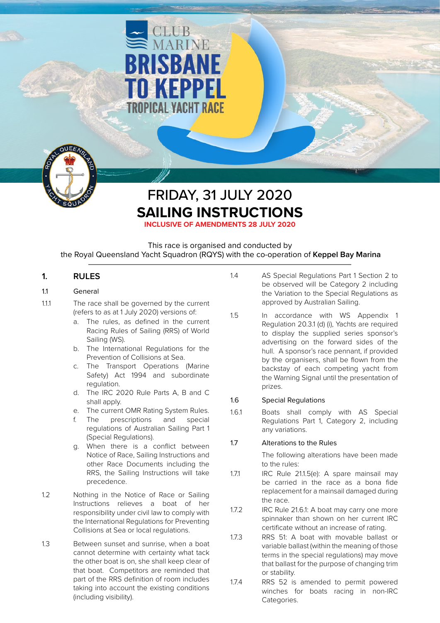

# FRIDAY, 31 JULY 2020 **SAILING INSTRUCTIONS INCLUSIVE OF AMENDMENTS 28 JULY 2020**

**ISBA** 

**TROPICAL YACHT RACE** 

**O KEPPEL** 

This race is organised and conducted by the Royal Queensland Yacht Squadron (RQYS) with the co-operation of **Keppel Bay Marina**

### **1. RULES**

#### 1.1 General

- The race shall be governed by the current (refers to as at 1 July 2020) versions of: 1.1.1
	- a. The rules, as defined in the current Racing Rules of Sailing (RRS) of World Sailing (WS).
	- b. The International Regulations for the Prevention of Collisions at Sea.
	- c. The Transport Operations (Marine Safety) Act 1994 and subordinate regulation.
	- d. The IRC 2020 Rule Parts A, B and C shall apply.
	- e. The current OMR Rating System Rules.
	- f. The prescriptions and special regulations of Australian Sailing Part 1 (Special Regulations).
	- g. When there is a conflict between Notice of Race, Sailing Instructions and other Race Documents including the RRS, the Sailing Instructions will take precedence.
- Nothing in the Notice of Race or Sailing Instructions relieves a boat of her responsibility under civil law to comply with the International Regulations for Preventing Collisions at Sea or local regulations. 1.2
- Between sunset and sunrise, when a boat cannot determine with certainty what tack the other boat is on, she shall keep clear of that boat. Competitors are reminded that part of the RRS definition of room includes taking into account the existing conditions (including visibility). 1.3
- AS Special Regulations Part 1 Section 2 to be observed will be Category 2 including the Variation to the Special Regulations as approved by Australian Sailing. 1.4
- In accordance with WS Appendix 1 Regulation 20.3.1 (d) (i), Yachts are required to display the supplied series sponsor's advertising on the forward sides of the hull. A sponsor's race pennant, if provided by the organisers, shall be flown from the backstay of each competing yacht from the Warning Signal until the presentation of prizes. 1.5

#### 1.6 Special Regulations

Boats shall comply with AS Special Regulations Part 1, Category 2, including any variations. 1.6.1

#### 1.7 Alterations to the Rules

The following alterations have been made to the rules:

- IRC Rule 21.1.5(e): A spare mainsail may be carried in the race as a bona fide replacement for a mainsail damaged during the race. 1.7.1
- IRC Rule 21.6.1: A boat may carry one more spinnaker than shown on her current IRC certificate without an increase of rating. 172
- RRS 51: A boat with movable ballast or variable ballast (within the meaning of those terms in the special regulations) may move that ballast for the purpose of changing trim or stability. 1.7.3
- RRS 52 is amended to permit powered winches for boats racing in non-IRC Categories. 1.7.4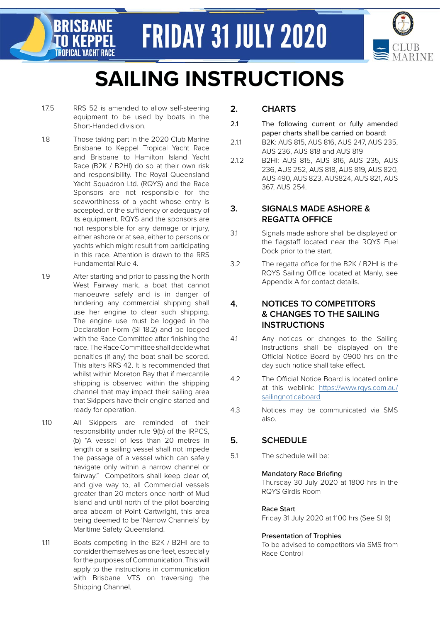

# **SAILING INSTRUCTIONS**

RRS 52 is amended to allow self-steering equipment to be used by boats in the Short-Handed division. 1.7.5

**BRISBANE** 

**TROPICAL YACHT RACE** 

- Those taking part in the 2020 Club Marine Brisbane to Keppel Tropical Yacht Race and Brisbane to Hamilton Island Yacht Race (B2K / B2HI) do so at their own risk and responsibility. The Royal Queensland Yacht Squadron Ltd. (RQYS) and the Race Sponsors are not responsible for the seaworthiness of a yacht whose entry is accepted, or the sufficiency or adequacy of its equipment. RQYS and the sponsors are not responsible for any damage or injury, either ashore or at sea, either to persons or yachts which might result from participating in this race. Attention is drawn to the RRS Fundamental Rule 4. 1.8
- After starting and prior to passing the North West Fairway mark, a boat that cannot manoeuvre safely and is in danger of hindering any commercial shipping shall use her engine to clear such shipping. The engine use must be logged in the Declaration Form (SI 18.2) and be lodged with the Race Committee after finishing the race. The Race Committee shall decide what penalties (if any) the boat shall be scored. This alters RRS 42. It is recommended that whilst within Moreton Bay that if mercantile shipping is observed within the shipping channel that may impact their sailing area that Skippers have their engine started and ready for operation. 1.9
- All Skippers are reminded of their responsibility under rule 9(b) of the IRPCS, (b) "A vessel of less than 20 metres in length or a sailing vessel shall not impede the passage of a vessel which can safely navigate only within a narrow channel or fairway." Competitors shall keep clear of, and give way to, all Commercial vessels greater than 20 meters once north of Mud Island and until north of the pilot boarding area abeam of Point Cartwright, this area being deemed to be 'Narrow Channels' by Maritime Safety Queensland. 1.10
- Boats competing in the B2K / B2HI are to consider themselves as one fleet, especially for the purposes of Communication. This will apply to the instructions in communication with Brisbane VTS on traversing the Shipping Channel. 1.11

### **2. CHARTS**

- The following current or fully amended paper charts shall be carried on board: 2.1
- B2K: AUS 815, AUS 816, AUS 247, AUS 235, AUS 236, AUS 818 and AUS 819 2.1.1
- B2HI: AUS 815, AUS 816, AUS 235, AUS 236, AUS 252, AUS 818, AUS 819, AUS 820, AUS 490, AUS 823, AUS824, AUS 821, AUS 367, AUS 254. 212

#### **SIGNALS MADE ASHORE & REGATTA OFFICE 3.**

- Signals made ashore shall be displayed on the flagstaff located near the RQYS Fuel Dock prior to the start. 3.1
- The regatta office for the B2K / B2HI is the RQYS Sailing Office located at Manly, see Appendix A for contact details. 3.2

#### **NOTICES TO COMPETITORS & CHANGES TO THE SAILING INSTRUCTIONS 4.**

- Any notices or changes to the Sailing Instructions shall be displayed on the Official Notice Board by 0900 hrs on the day such notice shall take effect. 4.1
- The Official Notice Board is located online at this weblink: [https://www.rqys.com.au/](https://www.rqys.com.au/sailingnoticeboard) [sailingnoticeboard](https://www.rqys.com.au/sailingnoticeboard) 4.2
- Notices may be communicated via SMS also. 4.3

# **5. SCHEDULE**

The schedule will be: 5.1

#### Mandatory Race Briefing

Thursday 30 July 2020 at 1800 hrs in the RQYS Girdis Room

#### Race Start

Friday 31 July 2020 at 1100 hrs (See SI 9)

#### Presentation of Trophies

To be advised to competitors via SMS from Race Control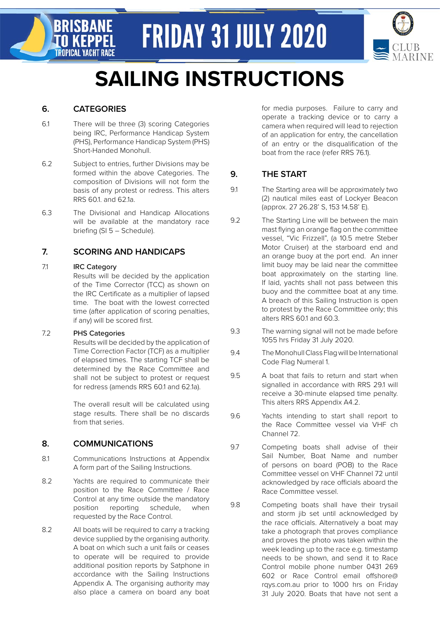

# **SAILING INSTRUCTIONS**

# **6. CATEGORIES**

**BRISBANE** 

**TROPICAL YACHT RACE** 

- There will be three (3) scoring Categories being IRC, Performance Handicap System (PHS), Performance Handicap System (PHS) Short-Handed Monohull. 6.1
- Subject to entries, further Divisions may be formed within the above Categories. The composition of Divisions will not form the basis of any protest or redress. This alters RRS 60.1. and 62.1a. 6.2
- The Divisional and Handicap Allocations will be available at the mandatory race briefing (SI 5 – Schedule). 6.3

# **7. SCORING AND HANDICAPS**

#### IRC Category 7.1

Results will be decided by the application of the Time Corrector (TCC) as shown on the IRC Certificate as a multiplier of lapsed time. The boat with the lowest corrected time (after application of scoring penalties, if any) will be scored first.

#### PHS Categories 7.2

Results will be decided by the application of Time Correction Factor (TCF) as a multiplier of elapsed times. The starting TCF shall be determined by the Race Committee and shall not be subject to protest or request for redress (amends RRS 60.1 and 62.1a).

The overall result will be calculated using stage results. There shall be no discards from that series.

# **8. COMMUNICATIONS**

- Communications Instructions at Appendix A form part of the Sailing Instructions. 8.1
- Yachts are required to communicate their position to the Race Committee / Race Control at any time outside the mandatory position reporting schedule, when requested by the Race Control. 8.2
- All boats will be required to carry a tracking device supplied by the organising authority. A boat on which such a unit fails or ceases to operate will be required to provide additional position reports by Satphone in accordance with the Sailing Instructions Appendix A. The organising authority may also place a camera on board any boat 8.2

for media purposes. Failure to carry and operate a tracking device or to carry a camera when required will lead to rejection of an application for entry, the cancellation of an entry or the disqualification of the boat from the race (refer RRS 76.1).

# **9. THE START**

- The Starting area will be approximately two (2) nautical miles east of Lockyer Beacon (approx. 27 26.28' S, 153 14.58' E). 9.1
- The Starting Line will be between the main mast flying an orange flag on the committee vessel, "Vic Frizzell", (a 10.5 metre Steber Motor Cruiser) at the starboard end and an orange buoy at the port end. An inner limit buoy may be laid near the committee boat approximately on the starting line. If laid, yachts shall not pass between this buoy and the committee boat at any time. A breach of this Sailing Instruction is open to protest by the Race Committee only; this alters RRS 60.1 and 60.3. 9.2
- The warning signal will not be made before 1055 hrs Friday 31 July 2020. 9.3
- The Monohull Class Flag will be International Code Flag Numeral 1. 9.4
- A boat that fails to return and start when signalled in accordance with RRS 29.1 will receive a 30-minute elapsed time penalty. This alters RRS Appendix A4.2. 9.5
- Yachts intending to start shall report to the Race Committee vessel via VHF ch Channel 72. 9.6
- Competing boats shall advise of their Sail Number, Boat Name and number of persons on board (POB) to the Race Committee vessel on VHF Channel 72 until acknowledged by race officials aboard the Race Committee vessel. 9.7
- Competing boats shall have their trysail and storm jib set until acknowledged by the race officials. Alternatively a boat may take a photograph that proves compliance and proves the photo was taken within the week leading up to the race e.g. timestamp needs to be shown, and send it to Race Control mobile phone number 0431 269 602 or Race Control email offshore@ rqys.com.au prior to 1000 hrs on Friday 31 July 2020. Boats that have not sent a 9.8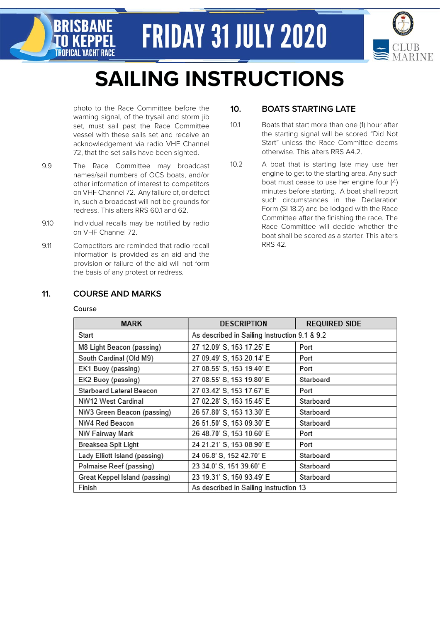

# **SAILING INSTRUCTIONS**

photo to the Race Committee before the warning signal, of the trysail and storm jib set, must sail past the Race Committee vessel with these sails set and receive an acknowledgement via radio VHF Channel 72, that the set sails have been sighted.

- The Race Committee may broadcast names/sail numbers of OCS boats, and/or other information of interest to competitors on VHF Channel 72. Any failure of, or defect in, such a broadcast will not be grounds for redress. This alters RRS 60.1 and 62. 9.9
- Individual recalls may be notified by radio on VHF Channel 72. 9.10
- Competitors are reminded that radio recall information is provided as an aid and the provision or failure of the aid will not form the basis of any protest or redress. 9.11

## **10. BOATS STARTING LATE**

- Boats that start more than one (1) hour after the starting signal will be scored "Did Not Start" unless the Race Committee deems otherwise. This alters RRS A4.2. 10.1
- A boat that is starting late may use her engine to get to the starting area. Any such boat must cease to use her engine four (4) minutes before starting. A boat shall report such circumstances in the Declaration Form (SI 18.2) and be lodged with the Race Committee after the finishing the race. The Race Committee will decide whether the boat shall be scored as a starter. This alters RRS 42. 10.2

# **11. COURSE AND MARKS**

#### Course

**TROPICAL YACHT RACE** 

| <b>MARK</b>                   | <b>DESCRIPTION</b>                            | <b>REQUIRED SIDE</b> |
|-------------------------------|-----------------------------------------------|----------------------|
| Start                         | As described in Sailing Instruction 9.1 & 9.2 |                      |
| M8 Light Beacon (passing)     | 27 12.09' S, 153 17.25' E                     | Port                 |
| South Cardinal (Old M9)       | 27 09.49' S, 153 20.14' E                     | Port                 |
| EK1 Buoy (passing)            | 27 08.55' S, 153 19.40' E                     | Port                 |
| EK2 Buoy (passing)            | 27 08.55' S, 153 19.80' E                     | Starboard            |
| Starboard Lateral Beacon      | 27 03.42' S, 153 17.67' E                     | Port                 |
| NW12 West Cardinal            | 27 02.28' S, 153 15.45' E                     | Starboard            |
| NW3 Green Beacon (passing)    | 26 57.80' S, 153 13.30' E                     | Starboard            |
| NW4 Red Beacon                | 26 51.50' S, 153 09.30' E                     | Starboard            |
| NW Fairway Mark               | 26 48.70' S, 153 10.60' E                     | Port                 |
| Breaksea Spit Light           | 24 21.21' S, 153 08.90' E                     | Port                 |
| Lady Elliott Island (passing) | 24 06.8' S, 152 42.70' E                      | Starboard            |
| Polmaise Reef (passing)       | 23 34.0' S, 151 39.60' E                      | Starboard            |
| Great Keppel Island (passing) | 23 19.31' S, 150 93.49' E                     | Starboard            |
| Finish                        | As described in Sailing Instruction 13        |                      |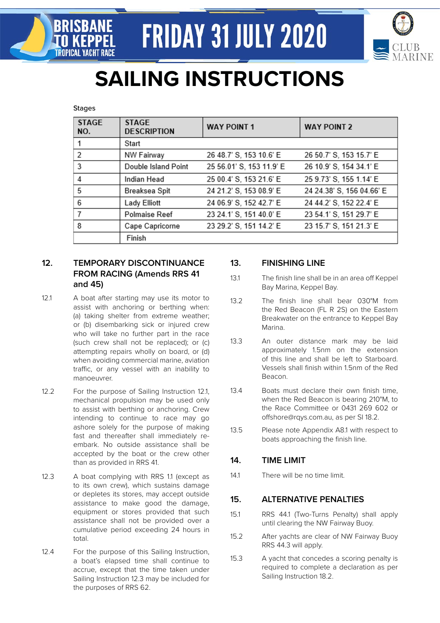

# **SAILING INSTRUCTIONS**

#### Stages

TROPICAL YACHT RACE

| <b>STAGE</b><br>NO. | <b>STAGE</b><br><b>DESCRIPTION</b> | <b>WAY POINT 1</b>       | <b>WAY POINT 2</b>        |
|---------------------|------------------------------------|--------------------------|---------------------------|
|                     | Start                              |                          |                           |
| 2                   | NW Fairway                         | 26 48.7' S, 153 10.6' E  | 26 50.7' S, 153 15.7' E   |
| 3                   | Double Island Point                | 25 56.01' S, 153 11.9' E | 26 10.9' S, 154 34.1' E   |
| 4                   | Indian Head                        | 25 00.4' S, 153 21.6' E  | 25 9.73' S, 155 1.14' E   |
| 5                   | Breaksea Spit                      | 24 21.2' S, 153 08.9' E  | 24 24.38' S, 156 04.66' E |
| 6                   | Lady Elliott                       | 24 06.9' S, 152 42.7' E  | 24 44.2' S, 152 22.4' E   |
| 7                   | Polmaise Reef                      | 23 24.1' S, 151 40.0' E  | 23 54.1' S, 151 29.7' E   |
| 8                   | Cape Capricorne                    | 23 29.2' S, 151 14.2' E  | 23 15.7' S, 151 21.3' E   |
|                     | Finish                             |                          |                           |

#### **TEMPORARY DISCONTINUANCE FROM RACING (Amends RRS 41 and 45) 12.**

- A boat after starting may use its motor to assist with anchoring or berthing when: (a) taking shelter from extreme weather; or (b) disembarking sick or injured crew who will take no further part in the race (such crew shall not be replaced); or (c) attempting repairs wholly on board, or (d) when avoiding commercial marine, aviation traffic, or any vessel with an inability to manoeuvrer. 12.1
- For the purpose of Sailing Instruction 12.1, mechanical propulsion may be used only to assist with berthing or anchoring. Crew intending to continue to race may go ashore solely for the purpose of making fast and thereafter shall immediately reembark. No outside assistance shall be accepted by the boat or the crew other than as provided in RRS 41. 12.2
- A boat complying with RRS 1.1 (except as to its own crew), which sustains damage or depletes its stores, may accept outside assistance to make good the damage, equipment or stores provided that such assistance shall not be provided over a cumulative period exceeding 24 hours in total.  $12.3$
- For the purpose of this Sailing Instruction, a boat's elapsed time shall continue to accrue, except that the time taken under Sailing Instruction 12.3 may be included for the purposes of RRS 62. 12.4

### **13. FINISHING LINE**

- The finish line shall be in an area off Keppel Bay Marina, Keppel Bay. 13.1
- The finish line shall bear 030°M from the Red Beacon (FL R 2S) on the Eastern Breakwater on the entrance to Keppel Bay Marina. 13.2
- An outer distance mark may be laid approximately 1.5nm on the extension of this line and shall be left to Starboard. Vessels shall finish within 1.5nm of the Red Beacon. 13.3
- Boats must declare their own finish time, when the Red Beacon is bearing 210°M, to the Race Committee or 0431 269 602 or offshore@rqys.com.au, as per SI 18.2. 13.4
- Please note Appendix A8.1 with respect to boats approaching the finish line. 13.5

### **14. TIME LIMIT**

141 There will be no time limit.

### **15. ALTERNATIVE PENALTIES**

- RRS 44.1 (Two-Turns Penalty) shall apply until clearing the NW Fairway Buoy. 15.1
- After yachts are clear of NW Fairway Buoy RRS 44.3 will apply. 15.2
- A yacht that concedes a scoring penalty is required to complete a declaration as per Sailing Instruction 18.2. 15.3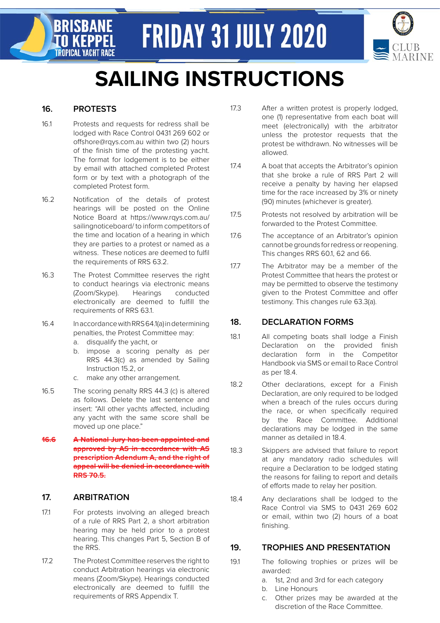

# **SAILING INSTRUCTIONS**

## **16. PROTESTS**

**BRISBANE** 

**TROPICAL YACHT RACE** 

- Protests and requests for redress shall be lodged with Race Control 0431 269 602 or offshore@rqys.com.au within two (2) hours of the finish time of the protesting yacht. The format for lodgement is to be either by email with attached completed Protest form or by text with a photograph of the completed Protest form. 16.1
- Notification of the details of protest hearings will be posted on the Online Notice Board at https://www.rqys.com.au/ sailingnoticeboard/ to inform competitors of the time and location of a hearing in which they are parties to a protest or named as a witness. These notices are deemed to fulfil the requirements of RRS 63.2. 16.2
- The Protest Committee reserves the right to conduct hearings via electronic means (Zoom/Skype). Hearings conducted electronically are deemed to fulfill the requirements of RRS 63.1. 16.3
- In accordance with RRS 64.1(a) in determining penalties, the Protest Committee may: 16.4
	- a. disqualify the yacht, or
	- b. impose a scoring penalty as per RRS 44.3(c) as amended by Sailing Instruction 15.2, or
	- c. make any other arrangement.
- The scoring penalty RRS 44.3 (c) is altered as follows. Delete the last sentence and insert: "All other yachts affected, including any yacht with the same score shall be moved up one place." 16.5
- **A National Jury has been appointed and approved by AS in accordance with AS prescription Adendum A, and the right of appeal will be denied in accordance with RRS 70.5. 16.6**

# **17. ARBITRATION**

- For protests involving an alleged breach of a rule of RRS Part 2, a short arbitration hearing may be held prior to a protest hearing. This changes Part 5, Section B of the RRS. 17.1
- The Protest Committee reserves the right to conduct Arbitration hearings via electronic means (Zoom/Skype). Hearings conducted electronically are deemed to fulfill the requirements of RRS Appendix T. 17.2
- After a written protest is properly lodged, one (1) representative from each boat will meet (electronically) with the arbitrator unless the protestor requests that the protest be withdrawn. No witnesses will be allowed. 17.3
- A boat that accepts the Arbitrator's opinion that she broke a rule of RRS Part 2 will receive a penalty by having her elapsed time for the race increased by 3% or ninety (90) minutes (whichever is greater). 17.4
- Protests not resolved by arbitration will be forwarded to the Protest Committee. 17.5
- The acceptance of an Arbitrator's opinion cannot be grounds for redress or reopening. This changes RRS 60.1, 62 and 66. 17.6
- The Arbitrator may be a member of the Protest Committee that hears the protest or may be permitted to observe the testimony given to the Protest Committee and offer testimony. This changes rule 63.3(a). 17.7

# **18. DECLARATION FORMS**

- All competing boats shall lodge a Finish Declaration on the provided finish declaration form in the Competitor Handbook via SMS or email to Race Control as per 18.4. 18.1
- Other declarations, except for a Finish Declaration, are only required to be lodged when a breach of the rules occurs during the race, or when specifically required by the Race Committee. Additional declarations may be lodged in the same manner as detailed in 18.4. 18.2
- Skippers are advised that failure to report at any mandatory radio schedules will require a Declaration to be lodged stating the reasons for failing to report and details of efforts made to relay her position. 18.3
- Any declarations shall be lodged to the Race Control via SMS to 0431 269 602 or email, within two (2) hours of a boat finishing. 18.4

# **19. TROPHIES AND PRESENTATION**

- The following trophies or prizes will be awarded: 19.1
	- a. 1st, 2nd and 3rd for each category
	- b. Line Honours
	- c. Other prizes may be awarded at the discretion of the Race Committee.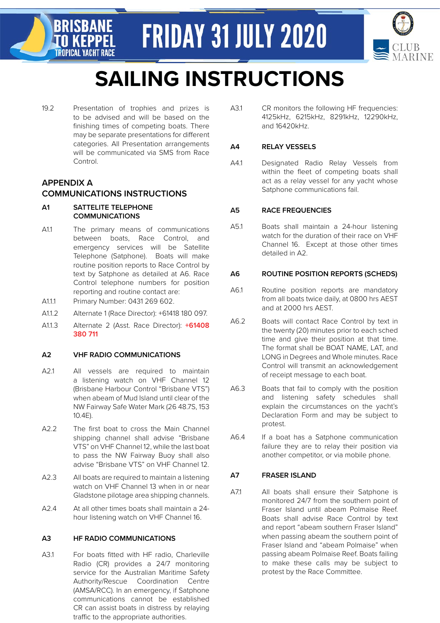

# **SAILING INSTRUCTIONS**

Presentation of trophies and prizes is to be advised and will be based on the finishing times of competing boats. There may be separate presentations for different categories. All Presentation arrangements will be communicated via SMS from Race Control. 19.2

# **APPENDIX A COMMUNICATIONS INSTRUCTIONS**

#### **SATTELITE TELEPHONE COMMUNICATIONS A1**

**BRISBANE** 

**TROPICAL YACHT RACE** 

- The primary means of communications between boats, Race Control, and emergency services will be Satellite Telephone (Satphone). Boats will make routine position reports to Race Control by text by Satphone as detailed at A6. Race Control telephone numbers for position reporting and routine contact are: A1.1
- A1.1.1 Primary Number: 0431 269 602.
- A1.1.2 Alternate 1 (Race Director): +61418 180 097.
- Alternate 2 (Asst. Race Director): **+61408 380 711** A1.1.3

#### **A2 VHF RADIO COMMUNICATIONS**

- All vessels are required to maintain a listening watch on VHF Channel 12 (Brisbane Harbour Control "Brisbane VTS") when abeam of Mud Island until clear of the NW Fairway Safe Water Mark (26 48.7S, 153 10.4E). A2.1
- The first boat to cross the Main Channel shipping channel shall advise "Brisbane VTS" on VHF Channel 12, while the last boat to pass the NW Fairway Buoy shall also advise "Brisbane VTS" on VHF Channel 12. A2.2
- All boats are required to maintain a listening watch on VHF Channel 13 when in or near Gladstone pilotage area shipping channels. A2.3
- At all other times boats shall maintain a 24 hour listening watch on VHF Channel 16. A2.4

### **A3 HF RADIO COMMUNICATIONS**

For boats fitted with HF radio, Charleville Radio (CR) provides a 24/7 monitoring service for the Australian Maritime Safety Authority/Rescue Coordination Centre (AMSA/RCC). In an emergency, if Satphone communications cannot be established CR can assist boats in distress by relaying traffic to the appropriate authorities. A31

CR monitors the following HF frequencies: 4125kHz, 6215kHz, 8291kHz, 12290kHz, and 16420kHz. A3.1

#### **A4 RELAY VESSELS**

Designated Radio Relay Vessels from within the fleet of competing boats shall act as a relay vessel for any yacht whose Satphone communications fail.  $A41$ 

### **A5 RACE FREQUENCIES**

Boats shall maintain a 24-hour listening watch for the duration of their race on VHF Channel 16. Except at those other times detailed in A2. A5.1

#### **A6 ROUTINE POSITION REPORTS (SCHEDS)**

- Routine position reports are mandatory from all boats twice daily, at 0800 hrs AEST and at 2000 hrs AEST. A61
- Boats will contact Race Control by text in the twenty (20) minutes prior to each sched time and give their position at that time. The format shall be BOAT NAME, LAT, and LONG in Degrees and Whole minutes. Race Control will transmit an acknowledgement of receipt message to each boat. A6.2
- Boats that fail to comply with the position and listening safety schedules shall explain the circumstances on the yacht's Declaration Form and may be subject to protest. A6.3
- If a boat has a Satphone communication failure they are to relay their position via another competitor, or via mobile phone. A6.4

### **A7 FRASER ISLAND**

All boats shall ensure their Satphone is monitored 24/7 from the southern point of Fraser Island until abeam Polmaise Reef. Boats shall advise Race Control by text and report "abeam southern Fraser Island" when passing abeam the southern point of Fraser Island and "abeam Polmaise" when passing abeam Polmaise Reef. Boats failing to make these calls may be subject to protest by the Race Committee. A7.1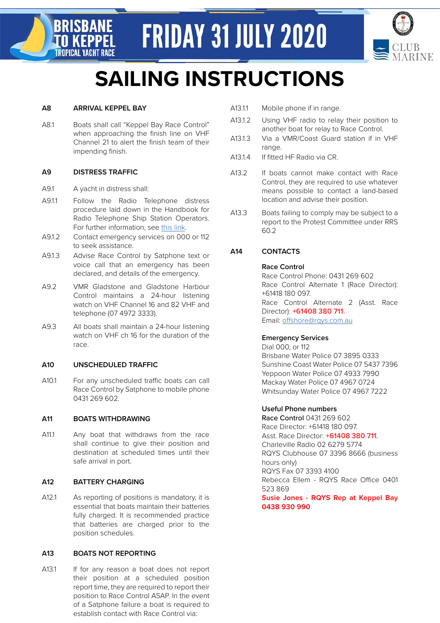

# **SAILING INSTRUCTIONS**

#### **A8 ARRIVAL KEPPEL BAY**

**BRISBANE** 

**TROPICAL YACHT RACE** 

Boats shall call "Keppel Bay Race Control" when approaching the finish line on VHF Channel 21 to alert the finish team of their impending finish. A8.1

#### **A9 DISTRESS TRAFFIC**

- A9.1 A yacht in distress shall:
- Follow the Radio Telephone distress procedure laid down in the Handbook for Radio Telephone Ship Station Operators. For further information, see [this link.](http://this link) A9.1.1
- Contact emergency services on 000 or 112 to seek assistance. A912
- Advise Race Control by Satphone text or voice call that an emergency has been declared, and details of the emergency. A9.1.3
- VMR Gladstone and Gladstone Harbour Control maintains a 24-hour listening watch on VHF Channel 16 and 82 VHF and telephone (07 4972 3333). A9.2
- All boats shall maintain a 24-hour listening watch on VHF ch 16 for the duration of the race. A9.3

#### **A10 UNSCHEDULED TRAFFIC**

For any unscheduled traffic boats can call Race Control by Satphone to mobile phone 0431 269 602. A10.1

#### **A11 BOATS WITHDRAWING**

Any boat that withdraws from the race shall continue to give their position and destination at scheduled times until their safe arrival in port. A111

#### **A12 BATTERY CHARGING**

As reporting of positions is mandatory, it is essential that boats maintain their batteries fully charged. It is recommended practice that batteries are charged prior to the position schedules. A12.1

#### **A13 BOATS NOT REPORTING**

If for any reason a boat does not report their position at a scheduled position report time, they are required to report their position to Race Control ASAP. In the event of a Satphone failure a boat is required to establish contact with Race Control via: A13.1

- A13.1.1 Mobile phone if in range.
- Using VHF radio to relay their position to another boat for relay to Race Control. A13.1.2
- Via a VMR/Coast Guard station if in VHF range. A13.1.3
- A13.1.4 If fitted HF Radio via CR.
- If boats cannot make contact with Race Control, they are required to use whatever means possible to contact a land-based location and advise their position. A13.2
- Boats failing to comply may be subject to a report to the Protest Committee under RRS 60.2 A13.3

### **A14 CONTACTS**

#### **Race Control**

Race Control Phone: 0431 269 602 Race Control Alternate 1 (Race Director): +61418 180 097. Race Control Alternate 2 (Asst. Race Director): **+61408 380 711.** Email: [offshore@rqys.com.au](mailto:offshore@rqys.com.au)

#### **Emergency Services**

Dial 000, or 112 Brisbane Water Police 07 3895 0333 Sunshine Coast Water Police 07 5437 7396 Yeppoon Water Police 07 4933 7990 Mackay Water Police 07 4967 0724 Whitsunday Water Police 07 4967 7222

#### **Useful Phone numbers**

Race Control 0431 269 602 Race Director: +61418 180 097. Asst. Race Director: **+61408 380 711.** Charleville Radio 02 6279 5774 RQYS Clubhouse 07 3396 8666 (business hours only) RQYS Fax 07 3393 4100 Rebecca Ellem - RQYS Race Office 0401 523 869 **Susie Jones - RQYS Rep at Keppel Bay 0438 930 990**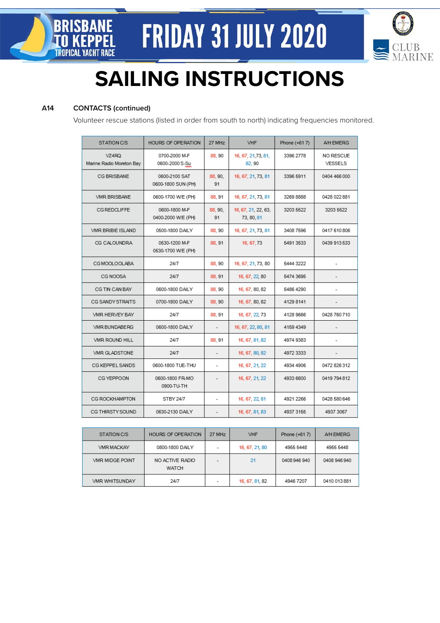

# **SAILING INSTRUCTIONS**

#### **A14 CONTACTS (continued)**

**TROPICAL YACHT RACE** 

**BR** 

**TO** 

Volunteer rescue stations (listed in order from south to north) indicating frequencies monitored.

| STATION C/S                       | HOURS OF OPERATION                  | 27 MHz         | <b>VHF</b>                        | Phone (+617) | A/H EMERG            |
|-----------------------------------|-------------------------------------|----------------|-----------------------------------|--------------|----------------------|
| VZ4RQ<br>Marine Radio Moreton Bay | 0700-2000 M-F<br>0600-2000 S-Su     | 88, 90         | 16, 67, 21, 73, 81,<br>82, 90     | 3396 2778    | NO RESCUE<br>VESSELS |
| CG BRISBANE                       | 0600-2100 SAT<br>0600-1800 SUN (PH) | 88, 90,<br>91  | 16, 67, 21, 73, 81                | 3396 5911    | 0404 466 000         |
| <b>VMR BRISBANE</b>               | 0600-1700 W/E (PH)                  | 88, 91         | 16, 67, 21, 73, 81                | 3269 8888    | 0428 022 881         |
| <b>CG REDCLIFFE</b>               | 0600-1800 M-F<br>0400-2000 W/E (PH) | 88, 90,<br>91  | 16, 67, 21, 22, 63,<br>73, 80, 81 | 3203 5522    | 3203 5522            |
| VMR BRIBIE ISLAND                 | 0500-1800 DAILY                     | 88, 90         | 16, 67, 21, 73, 81                | 3408 7596    | 0417 610 806         |
| CG CALOUNDRA                      | 0530-1200 M-F<br>0530-1700 W/E (PH) | 88, 91         | 16, 67, 73                        | 5491 3533    | 0439 913 533         |
| CGMOOLOOLABA                      | 24/7                                | 88, 90         | 16, 67, 21, 73, 80                | 5444 3222    |                      |
| CG NOOSA                          | 24/7                                | 88, 91         | 16, 67, 22, 80                    | 5474 3695    |                      |
| CG TIN CAN BAY                    | 0600-1800 DAILY                     | 88, 90         | 16, 67, 80, 82                    | 5486 4290    |                      |
| CG SANDY STRAITS                  | 0700-1800 DAILY                     | 88, 90         | 16, 67, 80, 82                    | 4129 8141    |                      |
| VMR HERVEY BAY                    | 24/7                                | 88, 91         | 16, 67, 22, 73                    | 4128 9666    | 0428 760 710         |
| VMR BUNDABERG                     | 0600-1800 DAILY                     |                | 16, 67, 22, 80, 81                | 4159 4349    |                      |
| VMR ROUND HILL                    | 24/7                                | 88, 91         | 16, 67, 81, 82                    | 4974 9383    |                      |
| VMR GLADSTONE                     | 24/7                                |                | 16, 67, 80, 82                    | 4972 3333    |                      |
| CG KEPPEL SANDS                   | 0600-1800 TUE-THU                   | ٠              | 16, 67, 21, 22                    | 4934 4906    | 0472 826 312         |
| CG YEPPOON                        | 0600-1800 FR-MO<br>0900-TU-TH       | $\overline{a}$ | 16, 67, 21, 22                    | 4933 6600    | 0419 794 812         |
| CG ROCKHAMPTON                    | STBY 24/7                           | ÷,             | 16, 67, 22, 81                    | 4921 2266    | 0428 580 646         |
| CG THIRSTY SOUND                  | 0630-2130 DAILY                     |                | 16, 67, 81, 83                    | 4937 3155    | 4937 3067            |

| STATION C/S       | HOURS OF OPERATION              | 27 MHz                   | <b>VHF</b>     | Phone (+617) | A/H EMERG    |
|-------------------|---------------------------------|--------------------------|----------------|--------------|--------------|
| <b>VMR MACKAY</b> | 0800-1800 DAILY                 |                          | 16, 67, 21, 80 | 4955 5448    | 4955 5448    |
| VMR MIDGE POINT   | NO ACTIVE RADIO<br><b>WATCH</b> | $\overline{\phantom{a}}$ | 21             | 0408 946 940 | 0408 946 940 |
| VMR WHITSUNDAY    | 24/7                            | ۰                        | 16, 67, 81, 82 | 4946 7207    | 0410 013 881 |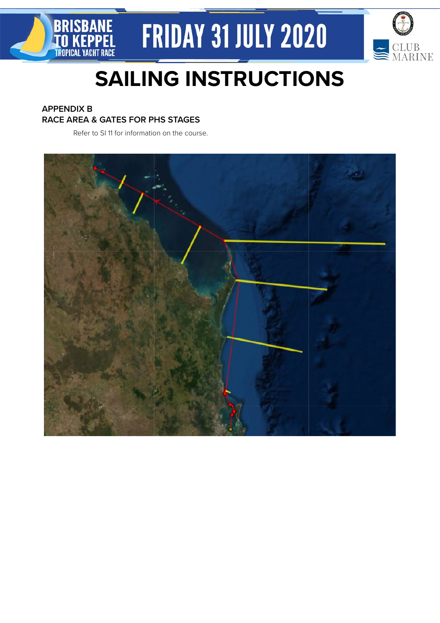



# **SAILING INSTRUCTIONS**

### **APPENDIX B RACE AREA & GATES FOR PHS STAGES**

Refer to SI 11 for information on the course.